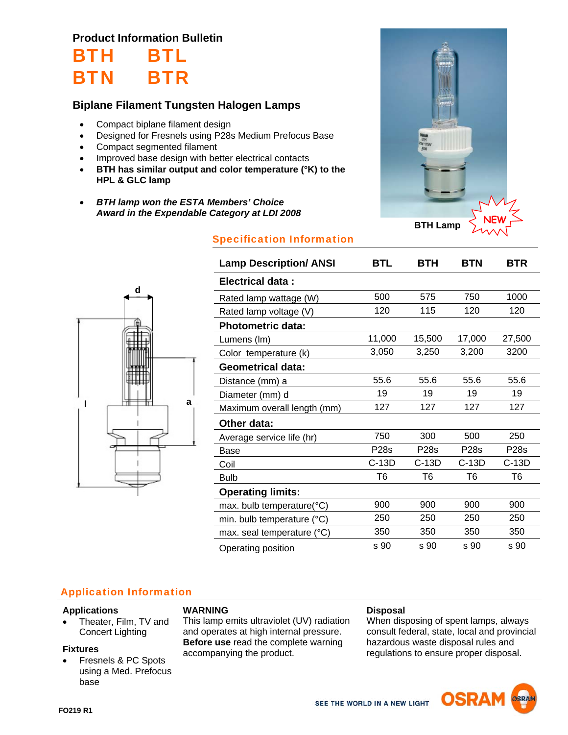## **Product Information Bulletin**

## BTH BTL BTN BTR

## **Biplane Filament Tungsten Halogen Lamps**

- Compact biplane filament design
- Designed for Fresnels using P28s Medium Prefocus Base
- Compact segmented filament
- Improved base design with better electrical contacts
- **BTH has similar output and color temperature (°K) to the HPL & GLC lamp**
- *BTH lamp won the ESTA Members' Choice Award in the Expendable Category at LDI 2008*



# Specification Information



| <b>Lamp Description/ ANSI</b> | <b>BTL</b>  | <b>BTH</b> | <b>BTN</b>     | BTR         |
|-------------------------------|-------------|------------|----------------|-------------|
| Electrical data:              |             |            |                |             |
| Rated lamp wattage (W)        | 500         | 575        | 750            | 1000        |
| Rated lamp voltage (V)        | 120         | 115        | 120            | 120         |
| <b>Photometric data:</b>      |             |            |                |             |
| Lumens (Im)                   | 11,000      | 15,500     | 17,000         | 27,500      |
| Color temperature (k)         | 3,050       | 3,250      | 3,200          | 3200        |
| <b>Geometrical data:</b>      |             |            |                |             |
| Distance (mm) a               | 55.6        | 55.6       | 55.6           | 55.6        |
| Diameter (mm) d               | 19          | 19         | 19             | 19          |
| Maximum overall length (mm)   | 127         | 127        | 127            | 127         |
| Other data:                   |             |            |                |             |
| Average service life (hr)     | 750         | 300        | 500            | 250         |
| Base                          | <b>P28s</b> | P28s       | <b>P28s</b>    | <b>P28s</b> |
| Coil                          | $C-13D$     | C-13D      | $C-13D$        | C-13D       |
| <b>Bulb</b>                   | T6          | T6         | T <sub>6</sub> | T6          |
| <b>Operating limits:</b>      |             |            |                |             |
| max. bulb temperature(°C)     | 900         | 900        | 900            | 900         |
| min. bulb temperature (°C)    | 250         | 250        | 250            | 250         |
| max. seal temperature (°C)    | 350         | 350        | 350            | 350         |
| Operating position            | s 90        | s 90       | s 90           | s 90        |

## Application Information

#### **Applications**

• Theater, Film, TV and Concert Lighting

#### **Fixtures**

 Fresnels & PC Spots using a Med. Prefocus base

#### **WARNING**

This lamp emits ultraviolet (UV) radiation and operates at high internal pressure. **Before use** read the complete warning accompanying the product.

#### **Disposal**

When disposing of spent lamps, always consult federal, state, local and provincial hazardous waste disposal rules and regulations to ensure proper disposal.